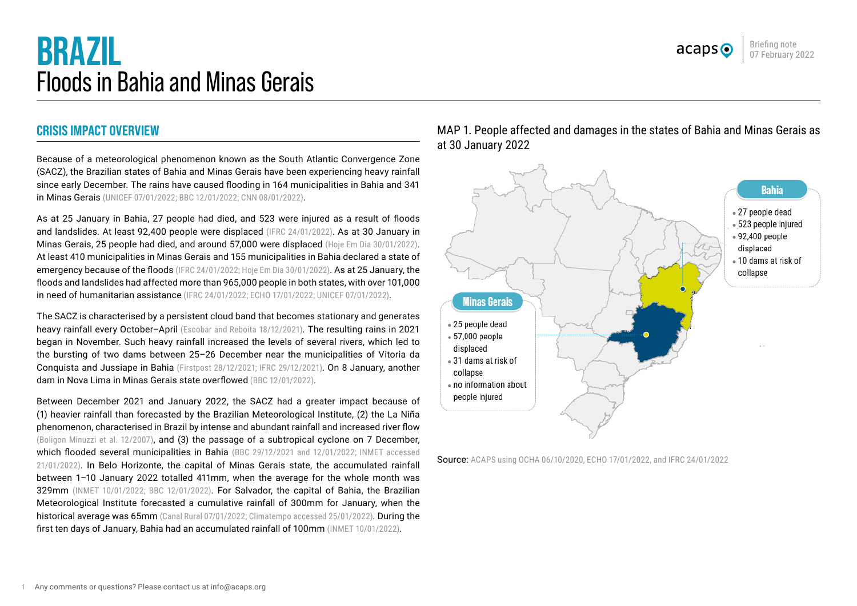

# **BRAZIL** Floods in Bahia and Minas Gerais

# **CRISIS IMPACT OVERVIEW**

Because of a meteorological phenomenon known as the South Atlantic Convergence Zone (SACZ), the Brazilian states of Bahia and Minas Gerais have been experiencing heavy rainfall since early December. The rains have caused flooding in 164 municipalities in Bahia and 341 in Minas Gerais ([UNICEF 07/01/2022](https://reliefweb.int/sites/reliefweb.int/files/resources/UNICEF%20Brazil%20Flash%20Situation%20Report%20No.%201%20%28Bahia%20Floods%29%20-%2008%20January%202022.pdf); [BBC 12/01/2022](https://www.bbc.com/news/world-latin-america-59944174); [CNN 08/01/2022](https://www.cnnbrasil.com.br/nacional/com-850-mil-afetados-pelas-chuvas-bahia-tem-novo-alerta-para-alagamentos/)).

As at 25 January in Bahia, 27 people had died, and 523 were injured as a result of floods and landslides. At least 92,400 people were displaced [\(IFRC 24/01/2022\)](https://reliefweb.int/report/brazil/brazil-floods-emergency-plan-action-epoa-dref-operation-update-n-1-mdrbr010). As at 30 January in Minas Gerais, 25 people had died, and around 57,000 were displaced [\(Hoje Em Dia 30/01/2022](https://www.hojeemdia.com.br/horizontes/minas-tem-mais-de-57-mil-desabrigados-e-desalojados-pelas-chuvas-aponta-balan%C3%A7o-da-defesa-civil-1.874295)). At least 410 municipalities in Minas Gerais and 155 municipalities in Bahia declared a state of emergency because of the floods [\(IFRC 24/01/2022](https://reliefweb.int/report/brazil/brazil-floods-emergency-plan-action-epoa-dref-operation-update-n-1-mdrbr010); [Hoje Em Dia 30/01/2022](https://www.hojeemdia.com.br/horizontes/minas-tem-mais-de-57-mil-desabrigados-e-desalojados-pelas-chuvas-aponta-balan%C3%A7o-da-defesa-civil-1.874295)). As at 25 January, the floods and landslides had affected more than 965,000 people in both states, with over 101,000 in need of humanitarian assistance [\(IFRC 24/01/2022](https://reliefweb.int/sites/reliefweb.int/files/resources/MDRBR010ou1.pdf); [ECHO 17/01/2022;](https://reliefweb.int/report/brazil/brazil-floods-and-landslides-update-dg-echo-government-bahia-civil-protection-minas) [UNICEF 07/01/2022\)](https://reliefweb.int/sites/reliefweb.int/files/resources/UNICEF%20Brazil%20Flash%20Situation%20Report%20No.%201%20%28Bahia%20Floods%29%20-%2008%20January%202022.pdf).

The SACZ is characterised by a persistent cloud band that becomes stationary and generates heavy rainfall every October–April ([Escobar and Reboita 18/12/2021\)](https://www.revistascca.unam.mx/atm/index.php/atm/article/view/52936). The resulting rains in 2021 began in November. Such heavy rainfall increased the levels of several rivers, which led to the bursting of two dams between 25–26 December near the municipalities of Vitoria da Conquista and Jussiape in Bahia ([Firstpost 28/12/2021;](https://www.firstpost.com/world/dams-burst-in-northeastern-brazil-as-authorities-issue-warnings-of-flash-floods-heres-what-happened-10240921.html) [IFRC 29/12/2021\)](https://reliefweb.int/sites/reliefweb.int/files/resources/Information%20Bulletin%20Brazil-Floods%202021.12.29%20%281%29.pdf). On 8 January, another dam in Nova Lima in Minas Gerais state overflowed ([BBC 12/01/2022](https://www.bbc.com/news/world-latin-america-59944174)).

Between December 2021 and January 2022, the SACZ had a greater impact because of (1) heavier rainfall than forecasted by the Brazilian Meteorological Institute, (2) the La Niña phenomenon, characterised in Brazil by intense and abundant rainfall and increased river flow ([Boligon Minuzzi et al. 12/2007\)](https://www.scielo.br/j/rbmet/a/khrNFx7bQjXc4WYCZf6PRZS/?lang=pt), and (3) the passage of a subtropical cyclone on 7 December, which flooded several municipalities in Bahia ([BBC 29/12/2021](https://www.bbc.com/mundo/noticias-59814486) and [12/01/2022;](https://www.bbc.com/news/world-latin-america-59944174) [INMET accessed](https://portal.inmet.gov.br/boletinsprog) [21/01/2022](https://portal.inmet.gov.br/boletinsprog)). In Belo Horizonte, the capital of Minas Gerais state, the accumulated rainfall between 1–10 January 2022 totalled 411mm, when the average for the whole month was 329mm ([INMET 10/01/2022](https://portal.inmet.gov.br/noticias/inmet-divulga-o-diagn%C3%B3stico-das-chuvas-ocorridas-no-per%C3%ADodo-de-08-a-10-de-janeiro-de-2022-em-minas-gerais); [BBC 12/01/2022\)](https://www.bbc.com/news/world-latin-america-59944174). For Salvador, the capital of Bahia, the Brazilian Meteorological Institute forecasted a cumulative rainfall of 300mm for January, when the historical average was 65mm ([Canal Rural 07/01/2022](https://www.canalrural.com.br/noticias/tempo/corredor-de-umidade-eleva-volume-de-chuva-para-300-mm/); [Climatempo accessed 25/01/2022\)](https://www.climatempo.com.br/climatologia/56/salvador-ba). During the first ten days of January, Bahia had an accumulated rainfall of 100mm (INMET 10/01/2022).

MAP 1. People affected and damages in the states of Bahia and Minas Gerais as at 30 January 2022



Source: ACAPS using [OCHA 06/10/2020,](https://www.humanitarianresponse.info/en/operations/latin-america-and-caribbean/infographic/brazil-powerpoint-map) [ECHO 17/01/2022](https://reliefweb.int/report/brazil/brazil-floods-and-landslides-update-dg-echo-government-bahia-civil-protection-minas), and [IFRC 24/01/2022](https://reliefweb.int/sites/reliefweb.int/files/resources/MDRBR010ou1.pdf)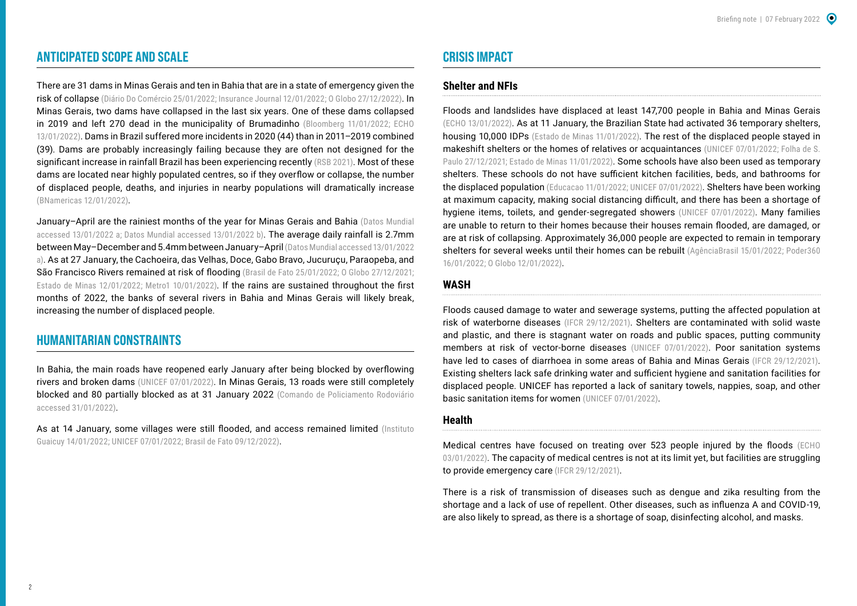# **ANTICIPATED SCOPE AND SCALE**

There are 31 dams in Minas Gerais and ten in Bahia that are in a state of emergency given the risk of collapse [\(Diário Do Comércio 25/01/2022](https://diariodocomercio.com.br/economia/chuvas-colocam-barragens-em-alerta-3-anos-apos-ruptura-em-brumadinho/); [Insurance Journal 12/01/2022](https://www.insurancejournal.com/news/international/2022/01/12/648994.htm); [O Globo 27/12/2022](https://g1.globo.com/jornal-nacional/noticia/2021/12/27/dez-represas-na-bahia-sao-monitoradas-por-risco-de-rompimento-em-funcao-das-chuvas.ghtml)). In Minas Gerais, two dams have collapsed in the last six years. One of these dams collapsed in 2019 and left 270 dead in the municipality of Brumadinho ([Bloomberg 11/01/2022;](https://www.bloomberglinea.com.co/2022/01/12/lluvia-en-brasil-paraliza-minas-de-hierro-inquietud-por-represas/) ECHO [13/01/2022](https://reliefweb.int/report/brazil/brazil-floods-and-landslides-update-government-bahia-civil-protection-minas-gerais-0)). Dams in Brazil suffered more incidents in 2020 (44) than in 2011–2019 combined (39). Dams are probably increasingly failing because they are often not designed for the significant increase in rainfall Brazil has been experiencing recently [\(RSB 2021](https://www.snisb.gov.br/relatorio-anual-de-seguranca-de-barragem/2020/rsb-2020.pdf)). Most of these dams are located near highly populated centres, so if they overflow or collapse, the number of displaced people, deaths, and injuries in nearby populations will dramatically increase ([BNamericas 12/01/2022](https://www.bnamericas.com/en/news/fears-rise-about-condition-of-brazil-tailings-dams)).

January–April are the rainiest months of the year for Minas Gerais and Bahia ([Datos Mundial](https://www.datosmundial.com/america/brasil/clima-minas-gerais.php)  [accessed 13/01/2022](https://www.datosmundial.com/america/brasil/clima-minas-gerais.php) a; [Datos Mundial accessed 13/01/2022](https://www.datosmundial.com/america/brasil/clima-bahia.php) b). The average daily rainfall is 2.7mm between May–December and 5.4mm between January–April ([Datos Mundial accessed 13/01/2022](https://www.datosmundial.com/america/brasil/clima-minas-gerais.php)  a). As at 27 January, the Cachoeira, das Velhas, Doce, Gabo Bravo, Jucuruçu, Paraopeba, and São Francisco Rivers remained at risk of flooding [\(Brasil de Fato 25/01/2022;](https://www.brasildefato.com.br/2022/01/25/em-minas-gerais-atividade-mineradora-agrava-enchentes-e-dificulta-prevencao) [O Globo 27/12/2021](https://g1.globo.com/jornal-nacional/noticia/2021/12/27/dez-represas-na-bahia-sao-monitoradas-por-risco-de-rompimento-em-funcao-das-chuvas.ghtml); [Estado de Minas 12/01/2022](https://www.em.com.br/app/noticia/gerais/2022/01/12/interna_gerais,1336983/rios-sobem-e-alertas-de-inundacao-se-multiplicam-em-minas.shtml); [Metro1 10/01/2022](https://www.metro1.com.br/noticias/cidade/117619,chuvas-sobe-para-166-numero-de-municipios-em-situacao-de-emergencia-na-bahia)). If the rains are sustained throughout the first months of 2022, the banks of several rivers in Bahia and Minas Gerais will likely break, increasing the number of displaced people.

## **HUMANITARIAN CONSTRAINTS**

In Bahia, the main roads have reopened early January after being blocked by overflowing rivers and broken dams [\(UNICEF 07/01/2022](https://reliefweb.int/sites/reliefweb.int/files/resources/UNICEF%20Brazil%20Flash%20Situation%20Report%20No.%201%20%28Bahia%20Floods%29%20-%2008%20January%202022.pdf)). In Minas Gerais, 13 roads were still completely blocked and 80 partially blocked as at 31 January 2022 ([Comando de Policiamento Rodoviário](https://www.google.com/maps/d/u/0/viewer?mid=1LWPe79KMUz4OUWcAuViGU5RfTHraffuA&ll=-21.95429966017785%2C-42.87104269338803&z=7)  [accessed 31/01/2022](https://www.google.com/maps/d/u/0/viewer?mid=1LWPe79KMUz4OUWcAuViGU5RfTHraffuA&ll=-21.95429966017785%2C-42.87104269338803&z=7)).

As at 14 January, some villages were still flooded, and access remained limited (Instituto [Guaicuy 14/01/2022](https://guaicuy.org.br/chuvas-em-minas-gerais-boletim5/); [UNICEF 07/01/2022](https://reliefweb.int/sites/reliefweb.int/files/resources/UNICEF%20Brazil%20Flash%20Situation%20Report%20No.%201%20%28Bahia%20Floods%29%20-%2008%20January%202022.pdf); [Brasil de Fato 09/12/2022\)](https://www.brasildefato.com.br/2022/01/09/muro-construido-pela-vale-causa-obstrucao-de-pontes-e-isola-habitantes-em-macacos-mg).

# **CRISIS IMPACT**

## **Shelter and NFIs**

Floods and landslides have displaced at least 147,700 people in Bahia and Minas Gerais ([ECHO 13/01/2022](https://reliefweb.int/report/brazil/brazil-floods-and-landslides-update-government-bahia-civil-protection-minas-gerais-0)). As at 11 January, the Brazilian State had activated 36 temporary shelters, housing 10,000 IDPs [\(Estado de Minas 11/01/2022](https://www.em.com.br/app/noticia/gerais/2022/01/11/interna_gerais,1336818/ajuda-aos-desabrigados-continua-em-todo-o-estado.shtml)). The rest of the displaced people staved in makeshift shelters or the homes of relatives or acquaintances ([UNICEF 07/01/2022](https://reliefweb.int/sites/reliefweb.int/files/resources/UNICEF%20Brazil%20Flash%20Situation%20Report%20No.%201%20%28Bahia%20Floods%29%20-%2008%20January%202022.pdf); Folha de S. [Paulo 27/12/2021;](https://www1.folha.uol.com.br/cotidiano/2021/12/desabrigados-pela-chuva-na-bahia-sao-levados-para-abrigos-e-escolas.shtml) [Estado de Minas 11/01/2022](https://www.em.com.br/app/noticia/gerais/2022/01/11/interna_gerais,1336792/bh-nao-registra-acolhidos-em-abrigos.shtml)). Some schools have also been used as temporary shelters. These schools do not have sufficient kitchen facilities, beds, and bathrooms for the displaced population ([Educacao 11/01/2022](https://www2.educacao.mg.gov.br/component/gmg/story/11808-escolas-estaduais-servem-de-abrigo-e-oferecem-acolhimento-para-familias-afetadas-pelas-chuvas-em-minas-gerais); [UNICEF 07/01/2022](https://reliefweb.int/sites/reliefweb.int/files/resources/UNICEF%20Brazil%20Flash%20Situation%20Report%20No.%201%20%28Bahia%20Floods%29%20-%2008%20January%202022.pdf)). Shelters have been working at maximum capacity, making social distancing difficult, and there has been a shortage of hygiene items, toilets, and gender-segregated showers ([UNICEF 07/01/2022](https://reliefweb.int/sites/reliefweb.int/files/resources/UNICEF%20Brazil%20Flash%20Situation%20Report%20No.%201%20%28Bahia%20Floods%29%20-%2008%20January%202022.pdf)). Many families are unable to return to their homes because their houses remain flooded, are damaged, or are at risk of collapsing. Approximately 36,000 people are expected to remain in temporary shelters for several weeks until their homes can be rebuilt ([AgênciaBrasil 15/01/2022](https://agenciabrasil.ebc.com.br/geral/noticia/2022-01/chuvas-deixam-45-mil-desalojados-e-66-mil-desabrigados-em-minas); [Poder360](https://www.poder360.com.br/brasil/bahia-chega-a-27-mortos-e-30-000-desabrigados-pelas-chuvas/)  [16/01/2022;](https://www.poder360.com.br/brasil/bahia-chega-a-27-mortos-e-30-000-desabrigados-pelas-chuvas/) [O Globo 12/01/2022](https://oglobo.globo.com/brasil/chuvas-em-minas-gerais-sobe-para-24-numero-de-mortes-25350898)).

#### **WASH**

Floods caused damage to water and sewerage systems, putting the affected population at risk of waterborne diseases ([IFCR 29/12/2021](https://reliefweb.int/report/brazil/brazil-floods-information-bulletin-mdrbr010)). Shelters are contaminated with solid waste and plastic, and there is stagnant water on roads and public spaces, putting community members at risk of vector-borne diseases ([UNICEF 07/01/2022](https://reliefweb.int/sites/reliefweb.int/files/resources/UNICEF%20Brazil%20Flash%20Situation%20Report%20No.%201%20%28Bahia%20Floods%29%20-%2008%20January%202022.pdf)). Poor sanitation systems have led to cases of diarrhoea in some areas of Bahia and Minas Gerais ([IFCR 29/12/2021\)](https://reliefweb.int/report/brazil/brazil-floods-information-bulletin-mdrbr010). Existing shelters lack safe drinking water and sufficient hygiene and sanitation facilities for displaced people. UNICEF has reported a lack of sanitary towels, nappies, soap, and other basic sanitation items for women [\(UNICEF 07/01/2022\)](https://reliefweb.int/sites/reliefweb.int/files/resources/UNICEF%20Brazil%20Flash%20Situation%20Report%20No.%201%20%28Bahia%20Floods%29%20-%2008%20January%202022.pdf).

#### **Health**

Medical centres have focused on treating over 523 people injured by the floods ([ECHO](https://reliefweb.int/report/brazil/brazil-floods-update-inmet-media-echo-daily-flash-3-january-2022)  [03/01/2022\)](https://reliefweb.int/report/brazil/brazil-floods-update-inmet-media-echo-daily-flash-3-january-2022). The capacity of medical centres is not at its limit yet, but facilities are struggling to provide emergency care ([IFCR 29/12/2021\)](https://reliefweb.int/report/brazil/brazil-floods-information-bulletin-mdrbr010).

There is a risk of transmission of diseases such as dengue and zika resulting from the shortage and a lack of use of repellent. Other diseases, such as influenza A and COVID-19, are also likely to spread, as there is a shortage of soap, disinfecting alcohol, and masks.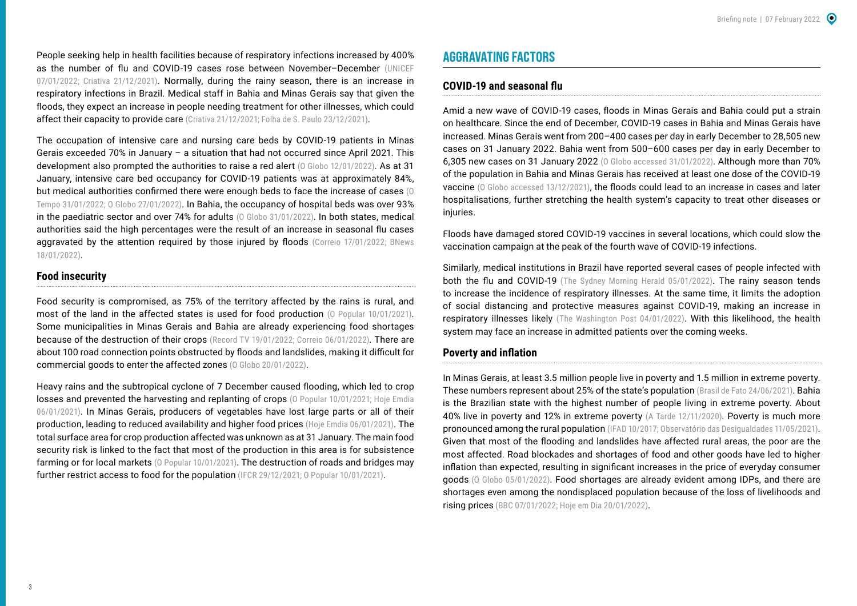People seeking help in health facilities because of respiratory infections increased by 400% as the number of flu and COVID-19 cases rose between November–December ([UNICEF](https://reliefweb.int/sites/reliefweb.int/files/resources/UNICEF%20Brazil%20Flash%20Situation%20Report%20No.%201%20%28Bahia%20Floods%29%20-%2008%20January%202022.pdf)  [07/01/2022](https://reliefweb.int/sites/reliefweb.int/files/resources/UNICEF%20Brazil%20Flash%20Situation%20Report%20No.%201%20%28Bahia%20Floods%29%20-%2008%20January%202022.pdf); [Criativa 21/12/2021](https://criativaonline.com.br/sindrome-gripal-aumenta-em-ate-400-atendimentos-nas-upas-da-bahia/)). Normally, during the rainy season, there is an increase in respiratory infections in Brazil. Medical staff in Bahia and Minas Gerais say that given the floods, they expect an increase in people needing treatment for other illnesses, which could affect their capacity to provide care ([Criativa 21/12/2021](https://criativaonline.com.br/sindrome-gripal-aumenta-em-ate-400-atendimentos-nas-upas-da-bahia/); [Folha de S. Paulo 23/12/2021\)](https://www1.folha.uol.com.br/equilibrioesaude/2021/12/epidemia-de-gripe-atinge-ao-menos-17-estados-do-brasil.shtml).

The occupation of intensive care and nursing care beds by COVID-19 patients in Minas Gerais exceeded 70% in January – a situation that had not occurred since April 2021. This development also prompted the authorities to raise a red alert (0 Globo 12/01/2022). As at 31 January, intensive care bed occupancy for COVID-19 patients was at approximately 84%, but medical authorities confirmed there were enough beds to face the increase of cases (0 [Tempo 31/01/2022](https://www.otempo.com.br/cidades/covid-minas-tem-recorde-de-infeccoes-em-janeiro-com-quase-meio-milhao-de-casos-1.2604709); [O Globo 27/01/2022\)](https://g1.globo.com/mg/minas-gerais/noticia/2022/01/27/mg-tem-leitos-suficientes-para-suportar-o-pico-de-casos-de-covid-diz-secretario-de-saude.ghtml). In Bahia, the occupancy of hospital beds was over 93% in the paediatric sector and over 74% for adults (0 Globo 31/01/2022). In both states, medical authorities said the high percentages were the result of an increase in seasonal flu cases aggravated by the attention required by those injured by floods [\(Correio 17/01/2022](https://www.correio24horas.com.br/noticia/nid/covid-19-ocupacao-de-leitos-de-uti-pediatrica-chega-a-93-na-bahia/); BNews [18/01/2022](https://www.bnews.com.br/noticias/coronavirus/leitos-uti-adulto-na-bahia-tem-65-de-ocupacao.html)).

#### **Food insecurity**

Food security is compromised, as 75% of the territory affected by the rains is rural, and most of the land in the affected states is used for food production (0 Popular 10/01/2021). Some municipalities in Minas Gerais and Bahia are already experiencing food shortages because of the destruction of their crops ([Record TV 19/01/2022;](https://recordtv.r7.com/fala-brasil/videos/fortes-chuvas-provocam-desabastecimento-em-cidades-de-minas-gerais-19012022) [Correio 06/01/2022](https://www.correio24horas.com.br/noticia/nid/com-mercados-devastados-pelas-chuvas-cidades-baianas-vivem-de-doacao-de-comida/)). There are about 100 road connection points obstructed by floods and landslides, making it difficult for commercial goods to enter the affected zones [\(O Globo 20/01/2022](https://g1.globo.com/mg/minas-gerais/noticia/2022/01/20/veja-quais-pontos-ainda-seguem-interditados-nas-estradas-de-minas-gerais-nesta-quinta-feira.ghtml)).

Heavy rains and the subtropical cyclone of 7 December caused flooding, which led to crop losses and prevented the harvesting and replanting of crops (0 Popular 10/01/2021; Hoje Emdia [06/01/2021](https://www.hojeemdia.com.br/primeiro-plano/economia/feira-mais-cara-chuva-destr%C3%B3i-planta%C3%A7%C3%B5es-em-minas-e-leva-sacol%C3%B5es-a-comprarem-em-s%C3%A3o-paulo-1.870947)). In Minas Gerais, producers of vegetables have lost large parts or all of their production, leading to reduced availability and higher food prices ([Hoje Emdia 06/01/2021](https://www.hojeemdia.com.br/primeiro-plano/economia/feira-mais-cara-chuva-destr%C3%B3i-planta%C3%A7%C3%B5es-em-minas-e-leva-sacol%C3%B5es-a-comprarem-em-s%C3%A3o-paulo-1.870947)). The total surface area for crop production affected was unknown as at 31 January. The main food security risk is linked to the fact that most of the production in this area is for subsistence farming or for local markets (0 Popular 10/01/2021). The destruction of roads and bridges may further restrict access to food for the population [\(IFCR 29/12/2021;](https://reliefweb.int/report/brazil/brazil-floods-information-bulletin-mdrbr010) 0 Popular 10/01/2021).

# **AGGRAVATING FACTORS**

#### **COVID-19 and seasonal flu**

Amid a new wave of COVID-19 cases, floods in Minas Gerais and Bahia could put a strain on healthcare. Since the end of December, COVID-19 cases in Bahia and Minas Gerais have increased. Minas Gerais went from 200–400 cases per day in early December to 28,505 new cases on 31 January 2022. Bahia went from 500–600 cases per day in early December to 6,305 new cases on 31 January 2022 ([O Globo accessed 31/01/2022\)](https://especiais.g1.globo.com/bemestar/coronavirus/estados-brasil-mortes-casos-media-movel/). Although more than 70% of the population in Bahia and Minas Gerais has received at least one dose of the COVID-19 vaccine [\(O Globo accessed 13/12/2021\)](https://edition.cnn.com/2021/12/28/americas/brazil-bahia-flooding-intl/index.html), the floods could lead to an increase in cases and later hospitalisations, further stretching the health system's capacity to treat other diseases or injuries.

Floods have damaged stored COVID-19 vaccines in several locations, which could slow the vaccination campaign at the peak of the fourth wave of COVID-19 infections.

Similarly, medical institutions in Brazil have reported several cases of people infected with both the flu and COVID-19 ([The Sydney Morning Herald 05/01/2022](https://www.smh.com.au/world/south-america/flurona-the-combination-of-covid-and-the-flu-diagnosed-in-brazil-20220105-p59lx2.html)). The rainy season tends to increase the incidence of respiratory illnesses. At the same time, it limits the adoption of social distancing and protective measures against COVID-19, making an increase in respiratory illnesses likely ([The Washington Post 04/01/2022\)](https://www.washingtonpost.com/world/2022/01/04/twindemic-coronavirus-flu-outbreak-2021-israel-brazil-australia/). With this likelihood, the health system may face an increase in admitted patients over the coming weeks.

#### **Poverty and inflation**

In Minas Gerais, at least 3.5 million people live in poverty and 1.5 million in extreme poverty. These numbers represent about 25% of the state's population [\(Brasil de Fato 24/06/2021](https://www.brasildefatomg.com.br/2021/06/24/mais-de-25-da-populacao-mineira-esta-em-situacao-de-pobreza-ou-extrema-pobreza)). Bahia is the Brazilian state with the highest number of people living in extreme poverty. About 40% live in poverty and 12% in extreme poverty ([A Tarde 12/11/2020](https://atarde.com.br/bahia/bahia-tem-o-maior-numero-de-pessoas-extremamente-pobres-do-brasil-aponta-ibge-1135326)). Poverty is much more pronounced among the rural population (IFAD 10/2017; [Observatório das Desigualdades 11/05/2021\)](http://observatoriodesigualdades.fjp.mg.gov.br/?p=1665). Given that most of the flooding and landslides have affected rural areas, the poor are the most affected. Road blockades and shortages of food and other goods have led to higher inflation than expected, resulting in significant increases in the price of everyday consumer goods ([O Globo 05/01/2022](https://g1.globo.com/ba/bahia/noticia/2022/01/05/legumes-tem-alta-nos-precos-em-feira-de-salvador-faeb-descarta-inflacao-por-causa-da-chuva-no-interior-da-ba.ghtml)). Food shortages are already evident among IDPs, and there are shortages even among the nondisplaced population because of the loss of livelihoods and rising prices ([BBC 07/01/2022](https://www.bbc.com/portuguese/brasil-59483954); [Hoje em Dia 20/01/2022\)](https://www.hojeemdia.com.br/horizontes/cidades/servas-pede-%C3%A1gua-alimentos-e-outros-materiais-para-atingidos-pelas-chuvas-roupa-n%C3%A3o-precisa-mais-1.872969).